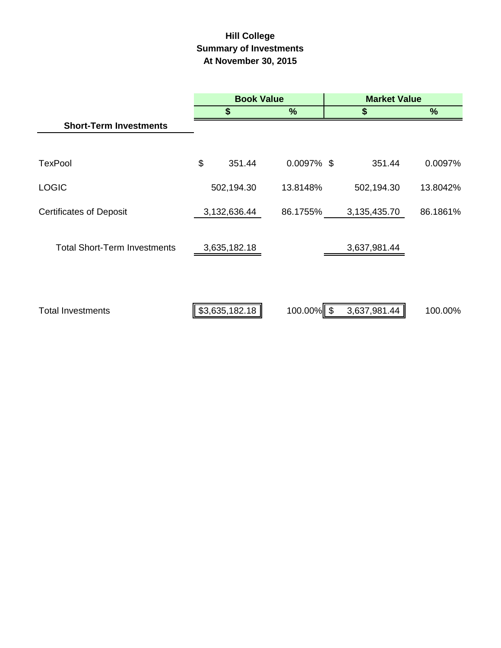# **Hill College Summary of Investments At November 30, 2015**

|                                     | <b>Book Value</b> |               | <b>Market Value</b> |          |  |
|-------------------------------------|-------------------|---------------|---------------------|----------|--|
|                                     | \$                | %             | \$                  | %        |  |
| <b>Short-Term Investments</b>       |                   |               |                     |          |  |
|                                     |                   |               |                     |          |  |
| <b>TexPool</b>                      | \$<br>351.44      | $0.0097\%$ \$ | 351.44              | 0.0097%  |  |
| <b>LOGIC</b>                        | 502,194.30        | 13.8148%      | 502,194.30          | 13.8042% |  |
| <b>Certificates of Deposit</b>      | 3,132,636.44      | 86.1755%      | 3,135,435.70        | 86.1861% |  |
| <b>Total Short-Term Investments</b> | 3,635,182.18      |               | 3,637,981.44        |          |  |
| <b>Total Investments</b>            | \$3,635,182.18    | 100.00%       | 3,637,981.44        | 100.00%  |  |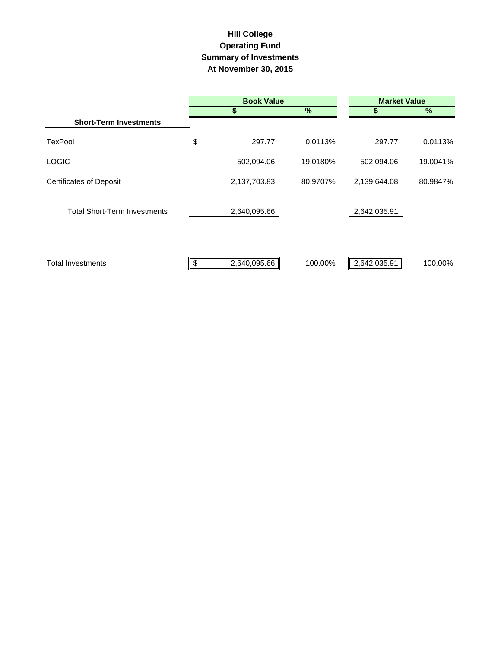### **Hill College Operating Fund At November 30, 2015 Summary of Investments**

|                                     | <b>Book Value</b>  | <b>Market Value</b> |              |          |  |
|-------------------------------------|--------------------|---------------------|--------------|----------|--|
|                                     | \$                 | $\%$                |              | $\%$     |  |
| <b>Short-Term Investments</b>       |                    |                     |              |          |  |
| <b>TexPool</b>                      | \$<br>297.77       | 0.0113%             | 297.77       | 0.0113%  |  |
| <b>LOGIC</b>                        | 502,094.06         | 19.0180%            | 502,094.06   | 19.0041% |  |
| <b>Certificates of Deposit</b>      | 2,137,703.83       | 80.9707%            | 2,139,644.08 | 80.9847% |  |
| <b>Total Short-Term Investments</b> | 2,640,095.66       |                     | 2,642,035.91 |          |  |
| <b>Total Investments</b>            | \$<br>2,640,095.66 | 100.00%             | 2,642,035.91 | 100.00%  |  |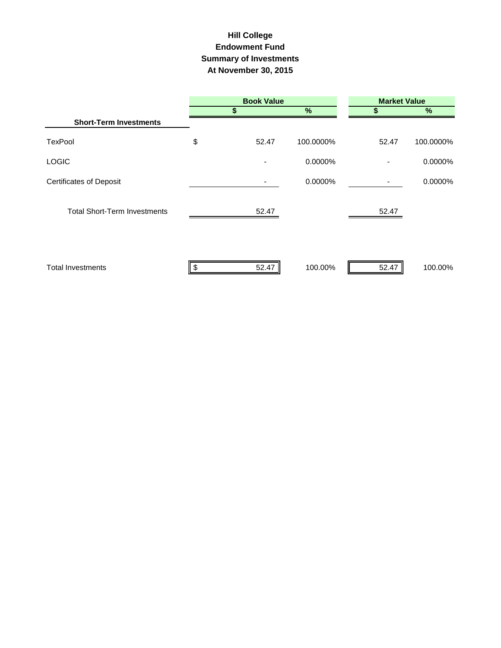## **Hill College Endowment Fund Summary of Investments At November 30, 2015**

|                                     | <b>Book Value</b> |           |                | <b>Market Value</b> |
|-------------------------------------|-------------------|-----------|----------------|---------------------|
|                                     | \$                | %         | S              | $\%$                |
| <b>Short-Term Investments</b>       |                   |           |                |                     |
| <b>TexPool</b>                      | \$<br>52.47       | 100.0000% | 52.47          | 100.0000%           |
| <b>LOGIC</b>                        |                   | 0.0000%   | $\blacksquare$ | 0.0000%             |
| <b>Certificates of Deposit</b>      |                   | 0.0000%   | -              | 0.0000%             |
| <b>Total Short-Term Investments</b> | 52.47             |           | 52.47          |                     |
| <b>Total Investments</b>            | 52.47             | 100.00%   | 52.47          | 100.00%             |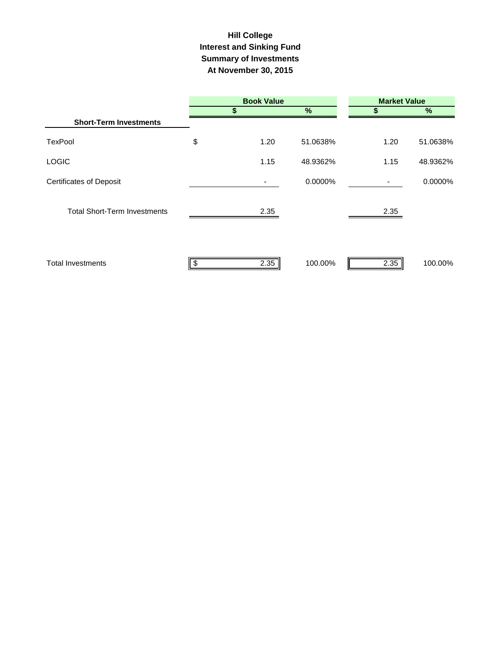## **Hill College Interest and Sinking Fund Summary of Investments At November 30, 2015**

|                                     |    | <b>Book Value</b> |               |      | <b>Market Value</b> |
|-------------------------------------|----|-------------------|---------------|------|---------------------|
|                                     |    | \$                | $\frac{9}{6}$ | S    | %                   |
| <b>Short-Term Investments</b>       |    |                   |               |      |                     |
| <b>TexPool</b>                      | \$ | 1.20              | 51.0638%      | 1.20 | 51.0638%            |
| <b>LOGIC</b>                        |    | 1.15              | 48.9362%      | 1.15 | 48.9362%            |
| <b>Certificates of Deposit</b>      |    |                   | 0.0000%       |      | 0.0000%             |
| <b>Total Short-Term Investments</b> |    | 2.35              |               | 2.35 |                     |
| <b>Total Investments</b>            | S  | 2.35              | 100.00%       | 2.35 | 100.00%             |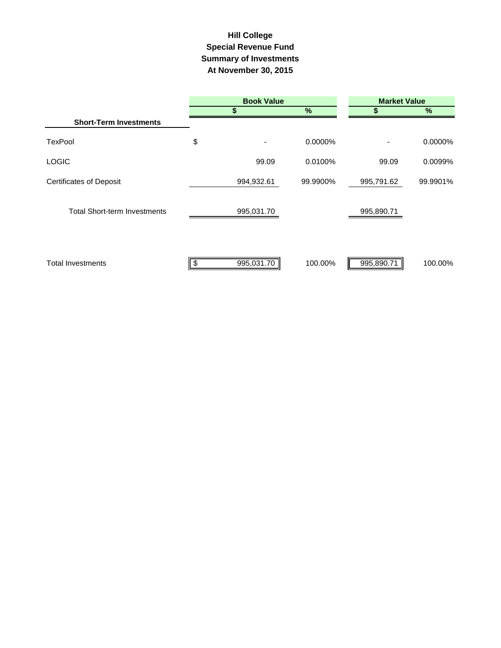## **Summary of Investments At November 30, 2015 Special Revenue Fund Hill College**

|                                     | <b>Book Value</b> |            |          | <b>Market Value</b>      |          |  |  |
|-------------------------------------|-------------------|------------|----------|--------------------------|----------|--|--|
|                                     |                   | \$         | %        |                          | $\%$     |  |  |
| <b>Short-Term Investments</b>       |                   |            |          |                          |          |  |  |
| <b>TexPool</b>                      | \$                |            | 0.0000%  | $\overline{\phantom{0}}$ | 0.0000%  |  |  |
| <b>LOGIC</b>                        |                   | 99.09      | 0.0100%  | 99.09                    | 0.0099%  |  |  |
| <b>Certificates of Deposit</b>      |                   | 994,932.61 | 99.9900% | 995,791.62               | 99.9901% |  |  |
| <b>Total Short-term Investments</b> |                   | 995,031.70 |          | 995,890.71               |          |  |  |
| <b>Total Investments</b>            |                   | 995,031.70 | 100.00%  | 995,890.71               | 100.00%  |  |  |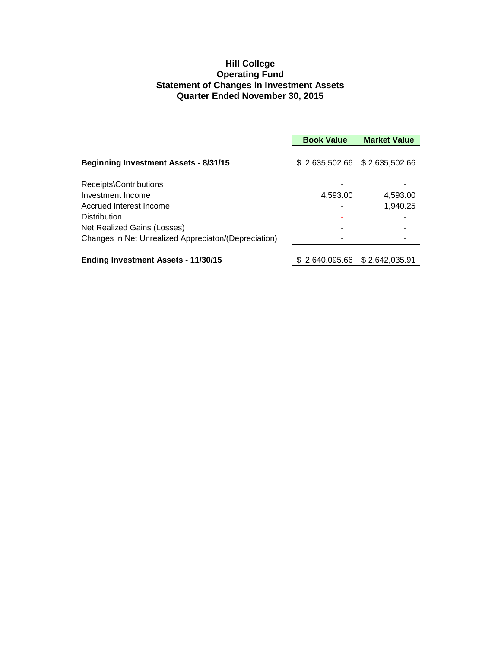#### **Hill College Operating Fund Statement of Changes in Investment Assets Quarter Ended November 30, 2015**

|                                                      | <b>Book Value</b>               | <b>Market Value</b> |
|------------------------------------------------------|---------------------------------|---------------------|
| <b>Beginning Investment Assets - 8/31/15</b>         | $$2,635,502.66$ $$2,635,502.66$ |                     |
| Receipts\Contributions                               |                                 |                     |
| Investment Income                                    | 4,593.00                        | 4,593.00            |
| Accrued Interest Income                              |                                 | 1,940.25            |
| <b>Distribution</b>                                  |                                 |                     |
| Net Realized Gains (Losses)                          |                                 |                     |
| Changes in Net Unrealized Appreciaton/(Depreciation) |                                 |                     |
| <b>Ending Investment Assets - 11/30/15</b>           | \$2,640,095.66 \$2,642,035.91   |                     |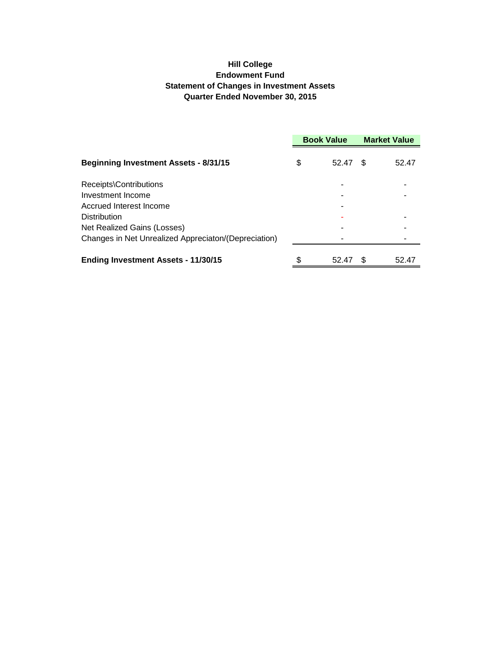#### **Hill College Endowment Fund Statement of Changes in Investment Assets Quarter Ended November 30, 2015**

|                                                      | <b>Book Value</b> |       | <b>Market Value</b> |       |
|------------------------------------------------------|-------------------|-------|---------------------|-------|
| <b>Beginning Investment Assets - 8/31/15</b>         | \$                | 52.47 | \$.                 | 52.47 |
| Receipts\Contributions                               |                   |       |                     |       |
| Investment Income                                    |                   |       |                     |       |
| Accrued Interest Income                              |                   |       |                     |       |
| Distribution                                         |                   |       |                     |       |
| Net Realized Gains (Losses)                          |                   |       |                     |       |
| Changes in Net Unrealized Appreciaton/(Depreciation) |                   |       |                     |       |
| <b>Ending Investment Assets - 11/30/15</b>           |                   | 52.47 | \$.                 | 52.47 |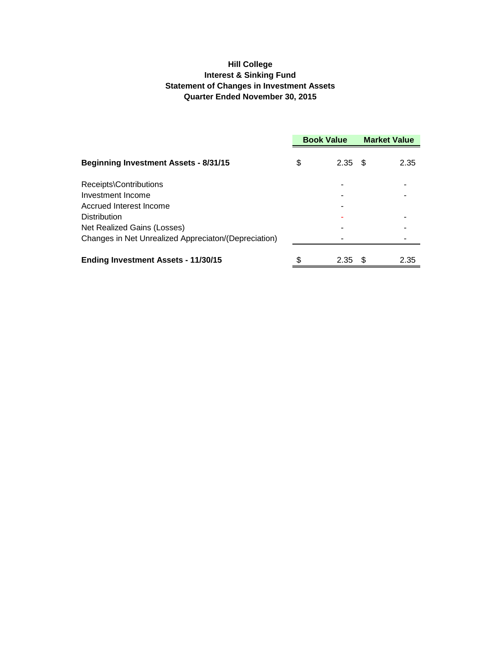#### **Hill College Interest & Sinking Fund Statement of Changes in Investment Assets Quarter Ended November 30, 2015**

|                                                      | <b>Book Value</b> |      | <b>Market Value</b> |      |
|------------------------------------------------------|-------------------|------|---------------------|------|
| <b>Beginning Investment Assets - 8/31/15</b>         | \$                | 2.35 | - \$                | 2.35 |
| Receipts\Contributions                               |                   |      |                     |      |
| Investment Income                                    |                   |      |                     |      |
| Accrued Interest Income                              |                   |      |                     |      |
| Distribution                                         |                   |      |                     |      |
| Net Realized Gains (Losses)                          |                   |      |                     |      |
| Changes in Net Unrealized Appreciaton/(Depreciation) |                   |      |                     |      |
| <b>Ending Investment Assets - 11/30/15</b>           |                   | 2.35 | - \$                | 2.35 |